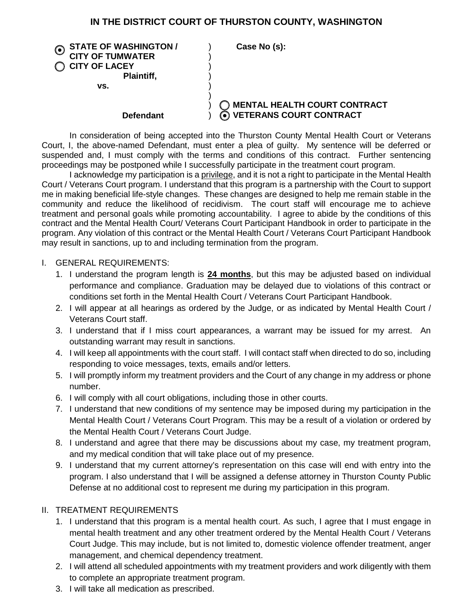## **IN THE DISTRICT COURT OF THURSTON COUNTY, WASHINGTON**

| <b>STATE OF WASHINGTON /</b><br><b>CITY OF TUMWATER</b><br><b>CITY OF LACEY</b><br>Plaintiff, | Case No (s):                                                     |
|-----------------------------------------------------------------------------------------------|------------------------------------------------------------------|
| VS.                                                                                           |                                                                  |
| Defendant                                                                                     | <b>MENTAL HEALTH COURT CONTRACT</b><br>O VETERANS COURT CONTRACT |

In consideration of being accepted into the Thurston County Mental Health Court or Veterans Court, I, the above-named Defendant, must enter a plea of guilty. My sentence will be deferred or suspended and, I must comply with the terms and conditions of this contract. Further sentencing proceedings may be postponed while I successfully participate in the treatment court program.

I acknowledge my participation is a privilege, and it is not a right to participate in the Mental Health Court / Veterans Court program. I understand that this program is a partnership with the Court to support me in making beneficial life-style changes. These changes are designed to help me remain stable in the community and reduce the likelihood of recidivism. The court staff will encourage me to achieve treatment and personal goals while promoting accountability. I agree to abide by the conditions of this contract and the Mental Health Court/ Veterans Court Participant Handbook in order to participate in the program. Any violation of this contract or the Mental Health Court / Veterans Court Participant Handbook may result in sanctions, up to and including termination from the program.

#### I. GENERAL REQUIREMENTS:

- 1. I understand the program length is **24 months**, but this may be adjusted based on individual performance and compliance. Graduation may be delayed due to violations of this contract or conditions set forth in the Mental Health Court / Veterans Court Participant Handbook.
- 2. I will appear at all hearings as ordered by the Judge, or as indicated by Mental Health Court / Veterans Court staff.
- 3. I understand that if I miss court appearances, a warrant may be issued for my arrest. An outstanding warrant may result in sanctions.
- 4. I will keep all appointments with the court staff. I will contact staff when directed to do so, including responding to voice messages, texts, emails and/or letters.
- 5. I will promptly inform my treatment providers and the Court of any change in my address or phone number.
- 6. I will comply with all court obligations, including those in other courts.
- 7. I understand that new conditions of my sentence may be imposed during my participation in the Mental Health Court / Veterans Court Program. This may be a result of a violation or ordered by the Mental Health Court / Veterans Court Judge.
- 8. I understand and agree that there may be discussions about my case, my treatment program, and my medical condition that will take place out of my presence.
- 9. I understand that my current attorney's representation on this case will end with entry into the program. I also understand that I will be assigned a defense attorney in Thurston County Public Defense at no additional cost to represent me during my participation in this program.

### II. TREATMENT REQUIREMENTS

- 1. I understand that this program is a mental health court. As such, I agree that I must engage in mental health treatment and any other treatment ordered by the Mental Health Court / Veterans Court Judge. This may include, but is not limited to, domestic violence offender treatment, anger management, and chemical dependency treatment.
- 2. I will attend all scheduled appointments with my treatment providers and work diligently with them to complete an appropriate treatment program.
- 3. I will take all medication as prescribed.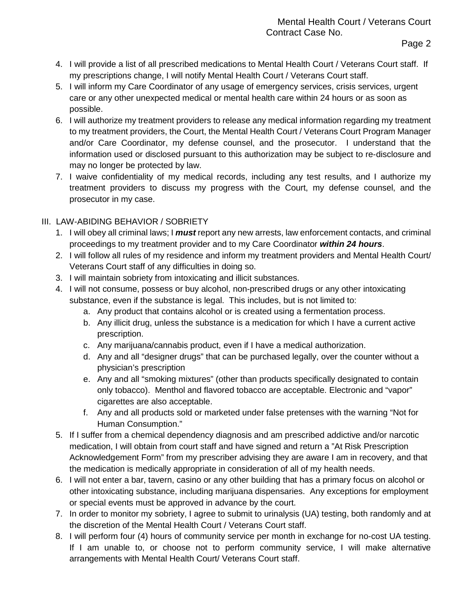- 4. I will provide a list of all prescribed medications to Mental Health Court / Veterans Court staff. If my prescriptions change, I will notify Mental Health Court / Veterans Court staff.
- 5. I will inform my Care Coordinator of any usage of emergency services, crisis services, urgent care or any other unexpected medical or mental health care within 24 hours or as soon as possible.
- 6. I will authorize my treatment providers to release any medical information regarding my treatment to my treatment providers, the Court, the Mental Health Court / Veterans Court Program Manager and/or Care Coordinator, my defense counsel, and the prosecutor. I understand that the information used or disclosed pursuant to this authorization may be subject to re-disclosure and may no longer be protected by law.
- 7. I waive confidentiality of my medical records, including any test results, and I authorize my treatment providers to discuss my progress with the Court, my defense counsel, and the prosecutor in my case.

# III. LAW-ABIDING BEHAVIOR / SOBRIETY

- 1. I will obey all criminal laws; I *must* report any new arrests, law enforcement contacts, and criminal proceedings to my treatment provider and to my Care Coordinator *within 24 hours*.
- 2. I will follow all rules of my residence and inform my treatment providers and Mental Health Court/ Veterans Court staff of any difficulties in doing so.
- 3. I will maintain sobriety from intoxicating and illicit substances.
- 4. I will not consume, possess or buy alcohol, non-prescribed drugs or any other intoxicating substance, even if the substance is legal. This includes, but is not limited to:
	- a. Any product that contains alcohol or is created using a fermentation process.
	- b. Any illicit drug, unless the substance is a medication for which I have a current active prescription.
	- c. Any marijuana/cannabis product, even if I have a medical authorization.
	- d. Any and all "designer drugs" that can be purchased legally, over the counter without a physician's prescription
	- e. Any and all "smoking mixtures" (other than products specifically designated to contain only tobacco). Menthol and flavored tobacco are acceptable. Electronic and "vapor" cigarettes are also acceptable.
	- f. Any and all products sold or marketed under false pretenses with the warning "Not for Human Consumption."
- 5. If I suffer from a chemical dependency diagnosis and am prescribed addictive and/or narcotic medication, I will obtain from court staff and have signed and return a "At Risk Prescription Acknowledgement Form" from my prescriber advising they are aware I am in recovery, and that the medication is medically appropriate in consideration of all of my health needs.
- 6. I will not enter a bar, tavern, casino or any other building that has a primary focus on alcohol or other intoxicating substance, including marijuana dispensaries. Any exceptions for employment or special events must be approved in advance by the court.
- 7. In order to monitor my sobriety, I agree to submit to urinalysis (UA) testing, both randomly and at the discretion of the Mental Health Court / Veterans Court staff.
- 8. I will perform four (4) hours of community service per month in exchange for no-cost UA testing. If I am unable to, or choose not to perform community service, I will make alternative arrangements with Mental Health Court/ Veterans Court staff.